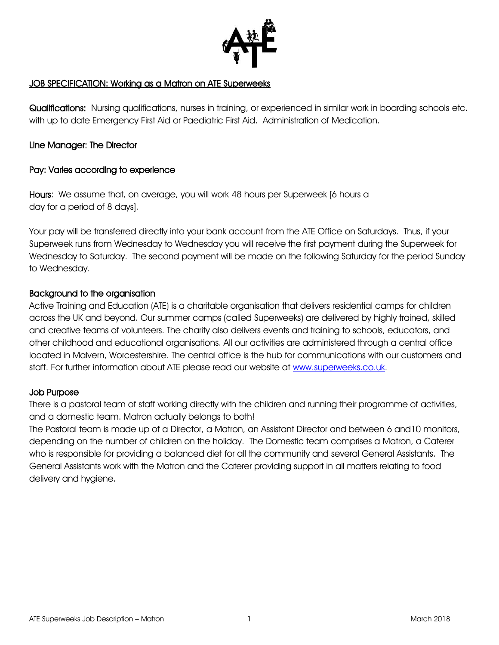

### JOB SPECIFICATION: Working as a Matron on ATE Superweeks

Qualifications: Nursing qualifications, nurses in training, or experienced in similar work in boarding schools etc. with up to date Emergency First Aid or Paediatric First Aid. Administration of Medication.

## Line Manager: The Director

## Pay: Varies according to experience

Hours: We assume that, on average, you will work 48 hours per Superweek [6 hours a day for a period of 8 days].

Your pay will be transferred directly into your bank account from the ATE Office on Saturdays. Thus, if your Superweek runs from Wednesday to Wednesday you will receive the first payment during the Superweek for Wednesday to Saturday. The second payment will be made on the following Saturday for the period Sunday to Wednesday.

## Background to the organisation

Active Training and Education (ATE) is a charitable organisation that delivers residential camps for children across the UK and beyond. Our summer camps (called Superweeks) are delivered by highly trained, skilled and creative teams of volunteers. The charity also delivers events and training to schools, educators, and other childhood and educational organisations. All our activities are administered through a central office located in Malvern, Worcestershire. The central office is the hub for communications with our customers and staff. For further information about ATE please read our website at [www.superweeks.co.uk.](http://www.superweeks.co.uk/)

### Job Purpose

There is a pastoral team of staff working directly with the children and running their programme of activities, and a domestic team. Matron actually belongs to both!

The Pastoral team is made up of a Director, a Matron, an Assistant Director and between 6 and10 monitors, depending on the number of children on the holiday. The Domestic team comprises a Matron, a Caterer who is responsible for providing a balanced diet for all the community and several General Assistants. The General Assistants work with the Matron and the Caterer providing support in all matters relating to food delivery and hygiene.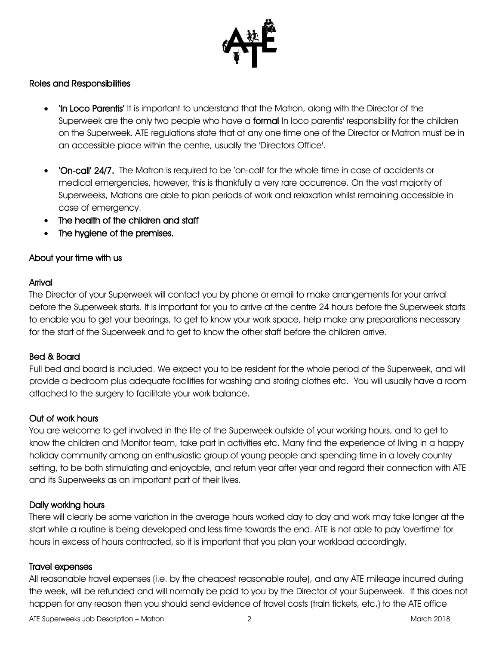

## Roles and Responsibilities

- In Loco Parentis' It is important to understand that the Matron, along with the Director of the Superweek are the only two people who have a formal In loco parentis' responsibility for the children on the Superweek. ATE regulations state that at any one time one of the Director or Matron must be in an accessible place within the centre, usually the 'Directors Office'.
- 'On-call' 24/7. The Matron is required to be 'on-call' for the whole time in case of accidents or medical emergencies, however, this is thankfully a very rare occurrence. On the vast majority of Superweeks, Matrons are able to plan periods of work and relaxation whilst remaining accessible in case of emergency.
- The health of the children and staff
- The hygiene of the premises.

## About your time with us

#### Arrival

The Director of your Superweek will contact you by phone or email to make arrangements for your arrival before the Superweek starts. It is important for you to arrive at the centre 24 hours before the Superweek starts to enable you to get your bearings, to get to know your work space, help make any preparations necessary for the start of the Superweek and to get to know the other staff before the children arrive.

### Bed & Board

Full bed and board is included. We expect you to be resident for the whole period of the Superweek, and will provide a bedroom plus adequate facilities for washing and storing clothes etc. You will usually have a room attached to the surgery to facilitate your work balance.

### Out of work hours

You are welcome to get involved in the life of the Superweek outside of your working hours, and to get to know the children and Monitor team, take part in activities etc. Many find the experience of living in a happy holiday community among an enthusiastic group of young people and spending time in a lovely country setting, to be both stimulating and enjoyable, and return year after year and regard their connection with ATE and its Superweeks as an important part of their lives.

### Daily working hours

There will clearly be some variation in the average hours worked day to day and work may take longer at the start while a routine is being developed and less time towards the end. ATE is not able to pay 'overtime' for hours in excess of hours contracted, so it is important that you plan your workload accordingly.

#### Travel expenses

All reasonable travel expenses (i.e. by the cheapest reasonable route), and any ATE mileage incurred during the week, will be refunded and will normally be paid to you by the Director of your Superweek. If this does not happen for any reason then you should send evidence of travel costs (train tickets, etc.) to the ATE office

ATE Superweeks Job Description – Matron 2008 2 2 March 2018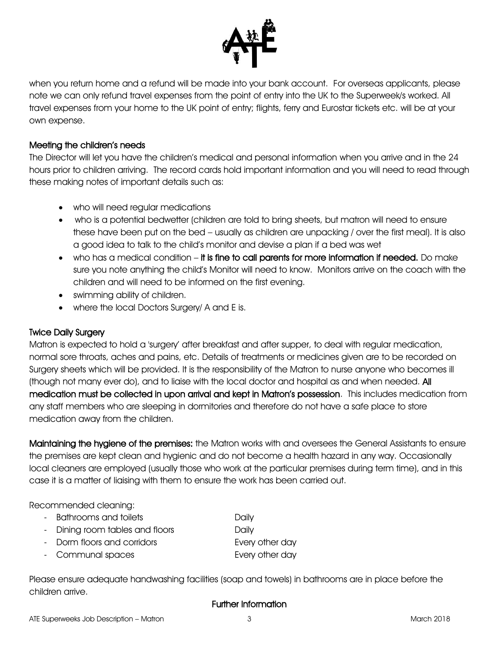

when you return home and a refund will be made into your bank account. For overseas applicants, please note we can only refund travel expenses from the point of entry into the UK to the Superweek/s worked. All travel expenses from your home to the UK point of entry; flights, ferry and Eurostar tickets etc. will be at your own expense.

## Meeting the children's needs

The Director will let you have the children's medical and personal information when you arrive and in the 24 hours prior to children arriving. The record cards hold important information and you will need to read through these making notes of important details such as:

- who will need regular medications
- who is a potential bedwetter (children are told to bring sheets, but matron will need to ensure these have been put on the bed – usually as children are unpacking / over the first meal). It is also a good idea to talk to the child's monitor and devise a plan if a bed was wet
- who has a medical condition it is fine to call parents for more information if needed. Do make sure you note anything the child's Monitor will need to know. Monitors arrive on the coach with the children and will need to be informed on the first evening.
- swimming ability of children.
- where the local Doctors Surgery/ A and E is.

# Twice Daily Surgery

Matron is expected to hold a 'surgery' after breakfast and after supper, to deal with regular medication, normal sore throats, aches and pains, etc. Details of treatments or medicines given are to be recorded on Surgery sheets which will be provided. It is the responsibility of the Matron to nurse anyone who becomes ill (though not many ever do), and to liaise with the local doctor and hospital as and when needed. All medication must be collected in upon arrival and kept in Matron's possession. This includes medication from any staff members who are sleeping in dormitories and therefore do not have a safe place to store medication away from the children.

Maintaining the hygiene of the premises: the Matron works with and oversees the General Assistants to ensure the premises are kept clean and hygienic and do not become a health hazard in any way. Occasionally local cleaners are employed (usually those who work at the particular premises during term time), and in this case it is a matter of liaising with them to ensure the work has been carried out.

Recommended cleaning:

| - Bathrooms and toilets         | Daily |
|---------------------------------|-------|
| - Dining room tables and floors | Daily |

| - Dorm floors and corridors | Every other day |
|-----------------------------|-----------------|
|                             |                 |

- Communal spaces Every other day

Please ensure adequate handwashing facilities (soap and towels) in bathrooms are in place before the children arrive.

# Further Information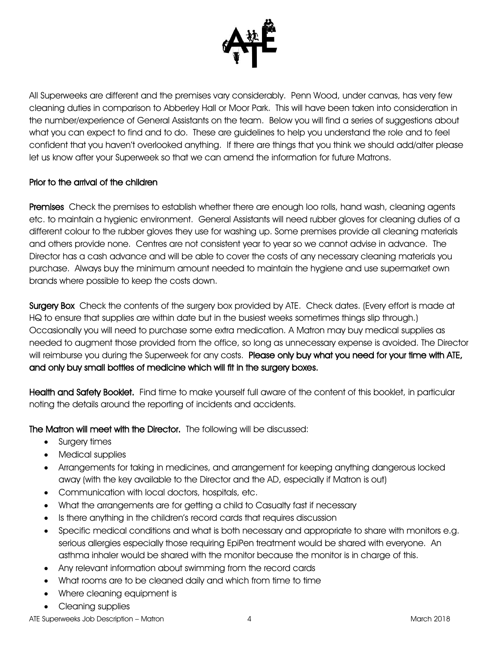

All Superweeks are different and the premises vary considerably. Penn Wood, under canvas, has very few cleaning duties in comparison to Abberley Hall or Moor Park. This will have been taken into consideration in the number/experience of General Assistants on the team. Below you will find a series of suggestions about what you can expect to find and to do. These are guidelines to help you understand the role and to feel confident that you haven't overlooked anything. If there are things that you think we should add/alter please let us know after your Superweek so that we can amend the information for future Matrons.

## Prior to the arrival of the children

Premises Check the premises to establish whether there are enough loo rolls, hand wash, cleaning agents etc. to maintain a hygienic environment. General Assistants will need rubber gloves for cleaning duties of a different colour to the rubber gloves they use for washing up. Some premises provide all cleaning materials and others provide none. Centres are not consistent year to year so we cannot advise in advance. The Director has a cash advance and will be able to cover the costs of any necessary cleaning materials you purchase. Always buy the minimum amount needed to maintain the hygiene and use supermarket own brands where possible to keep the costs down.

Surgery Box Check the contents of the surgery box provided by ATE. Check dates. (Every effort is made at HQ to ensure that supplies are within date but in the busiest weeks sometimes things slip through.) Occasionally you will need to purchase some extra medication. A Matron may buy medical supplies as needed to augment those provided from the office, so long as unnecessary expense is avoided. The Director will reimburse you during the Superweek for any costs. Please only buy what you need for your time with ATE, and only buy small bottles of medicine which will fit in the surgery boxes.

Health and Safety Booklet. Find time to make yourself full aware of the content of this booklet, in particular noting the details around the reporting of incidents and accidents.

# The Matron will meet with the Director. The following will be discussed:

- Surgery times
- Medical supplies
- Arrangements for taking in medicines, and arrangement for keeping anything dangerous locked away (with the key available to the Director and the AD, especially if Matron is out)
- Communication with local doctors, hospitals, etc.
- What the arrangements are for getting a child to Casualty fast if necessary
- Is there anything in the children's record cards that requires discussion
- Specific medical conditions and what is both necessary and appropriate to share with monitors e.g. serious allergies especially those requiring EpiPen treatment would be shared with everyone. An asthma inhaler would be shared with the monitor because the monitor is in charge of this.
- Any relevant information about swimming from the record cards
- What rooms are to be cleaned daily and which from time to time
- Where cleaning equipment is
- Cleaning supplies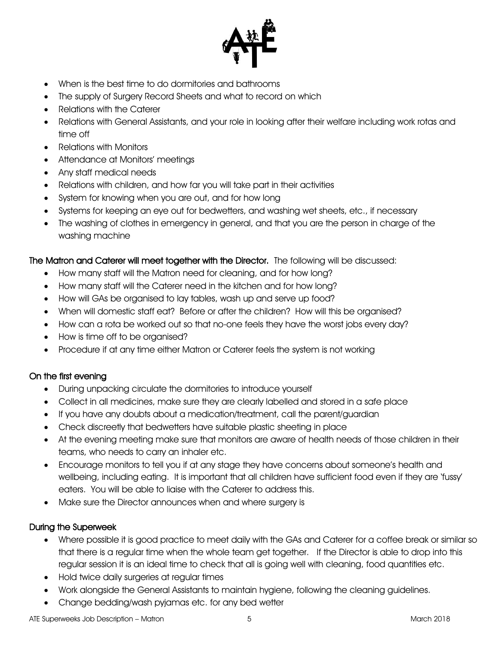

- When is the best time to do dormitories and bathrooms
- The supply of Surgery Record Sheets and what to record on which
- Relations with the Caterer
- Relations with General Assistants, and your role in looking after their welfare including work rotas and time off
- Relations with Monitors
- Attendance at Monitors' meetings
- Any staff medical needs
- Relations with children, and how far you will take part in their activities
- System for knowing when you are out, and for how long
- Systems for keeping an eye out for bedwetters, and washing wet sheets, etc., if necessary
- The washing of clothes in emergency in general, and that you are the person in charge of the washing machine

The Matron and Caterer will meet together with the Director. The following will be discussed:

- How many staff will the Matron need for cleaning, and for how long?
- How many staff will the Caterer need in the kitchen and for how long?
- How will GAs be organised to lay tables, wash up and serve up food?
- When will domestic staff eat? Before or after the children? How will this be organised?
- How can a rota be worked out so that no-one feels they have the worst jobs every day?
- How is time off to be organised?
- Procedure if at any time either Matron or Caterer feels the system is not working

# On the first evening

- During unpacking circulate the dormitories to introduce yourself
- Collect in all medicines, make sure they are clearly labelled and stored in a safe place
- If you have any doubts about a medication/treatment, call the parent/guardian
- Check discreetly that bedwetters have suitable plastic sheeting in place
- At the evening meeting make sure that monitors are aware of health needs of those children in their teams, who needs to carry an inhaler etc.
- Encourage monitors to tell you if at any stage they have concerns about someone's health and wellbeing, including eating. It is important that all children have sufficient food even if they are 'fussy' eaters. You will be able to liaise with the Caterer to address this.
- Make sure the Director announces when and where surgery is

# During the Superweek

- Where possible it is good practice to meet daily with the GAs and Caterer for a coffee break or similar so that there is a regular time when the whole team get together. If the Director is able to drop into this regular session it is an ideal time to check that all is going well with cleaning, food quantities etc.
- Hold twice daily surgeries at regular times
- Work alongside the General Assistants to maintain hygiene, following the cleaning guidelines.
- Change bedding/wash pyjamas etc. for any bed wetter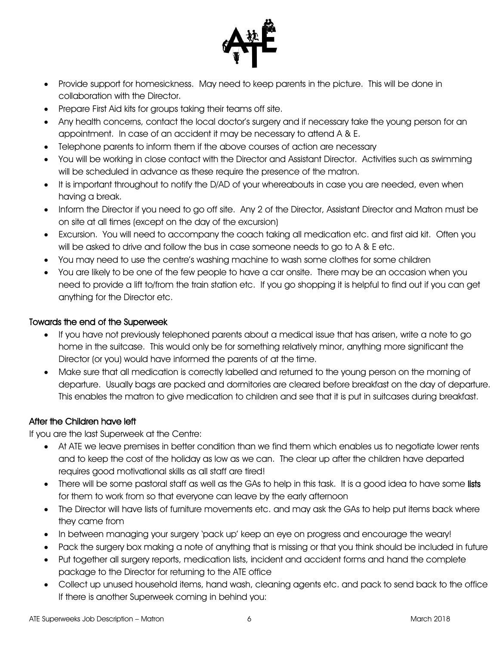

- Provide support for homesickness. May need to keep parents in the picture. This will be done in collaboration with the Director.
- Prepare First Aid kits for groups taking their teams off site.
- Any health concerns, contact the local doctor's surgery and if necessary take the young person for an appointment. In case of an accident it may be necessary to attend A & E.
- Telephone parents to inform them if the above courses of action are necessary
- You will be working in close contact with the Director and Assistant Director. Activities such as swimming will be scheduled in advance as these require the presence of the matron.
- It is important throughout to notify the D/AD of your whereabouts in case you are needed, even when having a break.
- Inform the Director if you need to go off site. Any 2 of the Director, Assistant Director and Matron must be on site at all times (except on the day of the excursion)
- Excursion. You will need to accompany the coach taking all medication etc. and first aid kit. Often you will be asked to drive and follow the bus in case someone needs to go to A & E etc.
- You may need to use the centre's washing machine to wash some clothes for some children
- You are likely to be one of the few people to have a car onsite. There may be an occasion when you need to provide a lift to/from the train station etc. If you go shopping it is helpful to find out if you can get anything for the Director etc.

# Towards the end of the Superweek

- If you have not previously telephoned parents about a medical issue that has arisen, write a note to go home in the suitcase. This would only be for something relatively minor, anything more significant the Director (or you) would have informed the parents of at the time.
- Make sure that all medication is correctly labelled and returned to the young person on the morning of departure. Usually bags are packed and dormitories are cleared before breakfast on the day of departure. This enables the matron to give medication to children and see that it is put in suitcases during breakfast.

# After the Children have left

If you are the last Superweek at the Centre:

- At ATE we leave premises in better condition than we find them which enables us to negotiate lower rents and to keep the cost of the holiday as low as we can. The clear up after the children have departed requires good motivational skills as all staff are tired!
- There will be some pastoral staff as well as the GAs to help in this task. It is a good idea to have some lists for them to work from so that everyone can leave by the early afternoon
- The Director will have lists of furniture movements etc. and may ask the GAs to help put items back where they came from
- In between managing your surgery 'pack up' keep an eye on progress and encourage the weary!
- Pack the surgery box making a note of anything that is missing or that you think should be included in future
- Put together all surgery reports, medication lists, incident and accident forms and hand the complete package to the Director for returning to the ATE office
- Collect up unused household items, hand wash, cleaning agents etc. and pack to send back to the office If there is another Superweek coming in behind you: